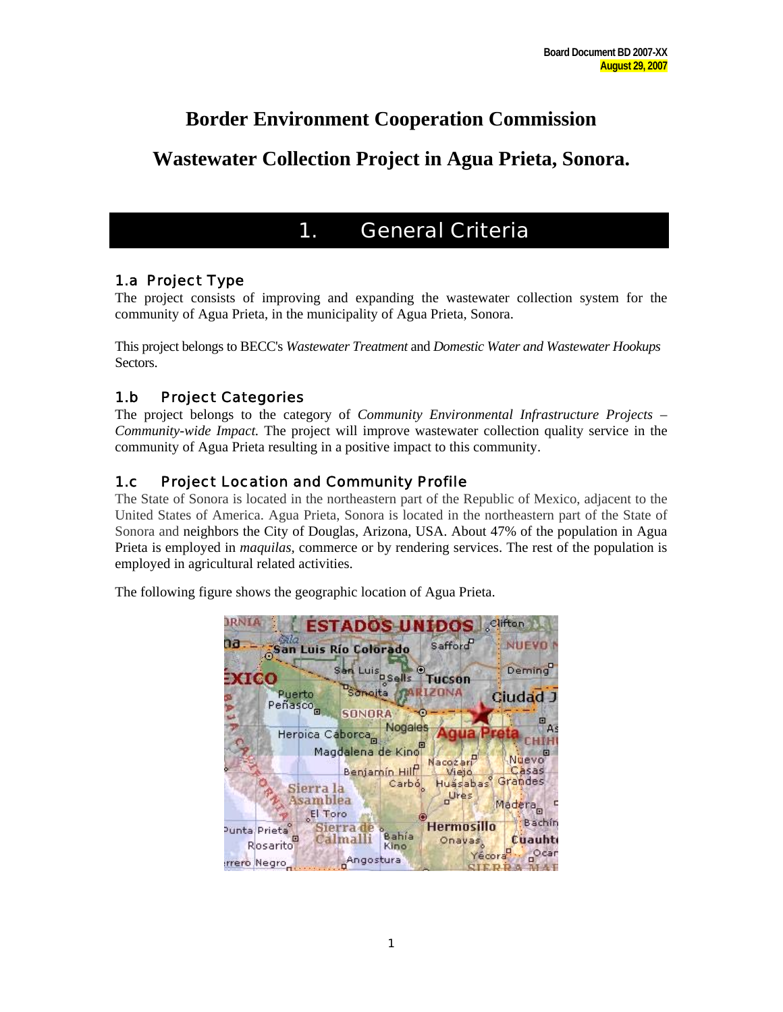# **Border Environment Cooperation Commission**

# **Wastewater Collection Project in Agua Prieta, Sonora.**

# 1. General Criteria

## 1.a Project Type

The project consists of improving and expanding the wastewater collection system for the community of Agua Prieta, in the municipality of Agua Prieta, Sonora.

This project belongs to BECC's *Wastewater Treatment* and *Domestic Water and Wastewater Hookups*  Sectors.

## 1.b Project Categories

The project belongs to the category of *Community Environmental Infrastructure Projects – Community-wide Impact.* The project will improve wastewater collection quality service in the community of Agua Prieta resulting in a positive impact to this community.

## 1.c Project Location and Community Profile

The State of Sonora is located in the northeastern part of the Republic of Mexico, adjacent to the United States of America. Agua Prieta, Sonora is located in the northeastern part of the State of Sonora and neighbors the City of Douglas, Arizona, USA. About 47% of the population in Agua Prieta is employed in *maquilas,* commerce or by rendering services. The rest of the population is employed in agricultural related activities.

The following figure shows the geographic location of Agua Prieta.

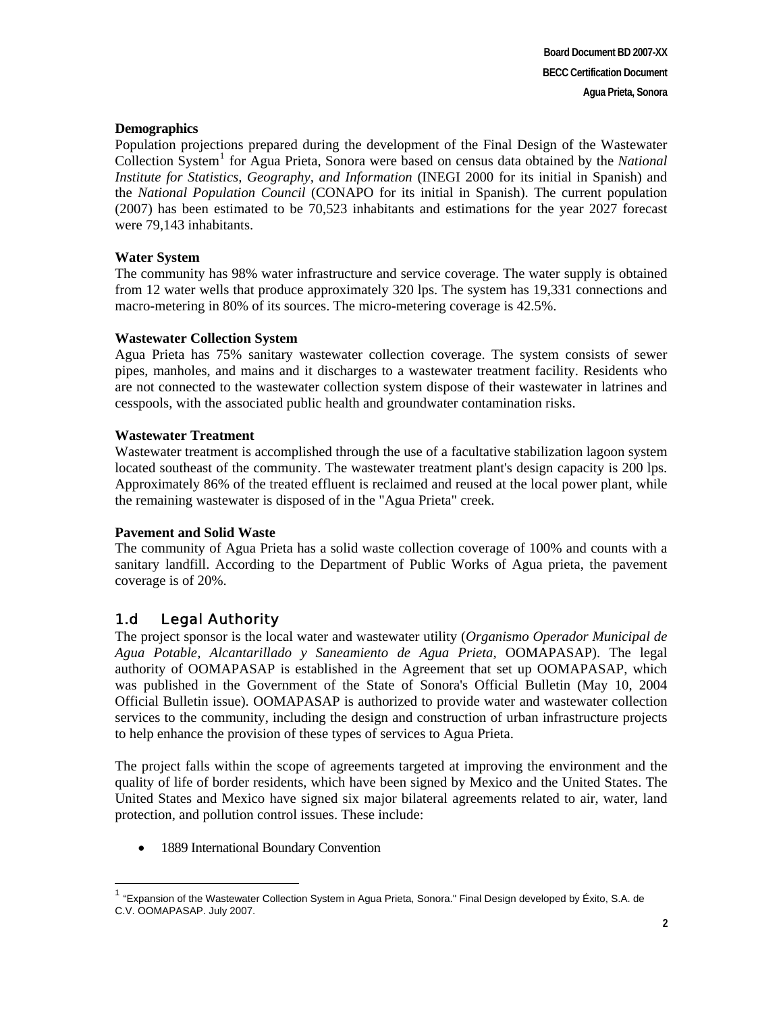#### **Demographics**

Population projections prepared during the development of the Final Design of the Wastewater Collection System<sup>[1](#page-1-0)</sup> for Agua Prieta, Sonora were based on census data obtained by the *National Institute for Statistics, Geography, and Information* (INEGI 2000 for its initial in Spanish) and the *National Population Council* (CONAPO for its initial in Spanish). The current population (2007) has been estimated to be 70,523 inhabitants and estimations for the year 2027 forecast were 79,143 inhabitants.

#### **Water System**

The community has 98% water infrastructure and service coverage. The water supply is obtained from 12 water wells that produce approximately 320 lps. The system has 19,331 connections and macro-metering in 80% of its sources. The micro-metering coverage is 42.5%.

#### **Wastewater Collection System**

Agua Prieta has 75% sanitary wastewater collection coverage. The system consists of sewer pipes, manholes, and mains and it discharges to a wastewater treatment facility. Residents who are not connected to the wastewater collection system dispose of their wastewater in latrines and cesspools, with the associated public health and groundwater contamination risks.

#### **Wastewater Treatment**

Wastewater treatment is accomplished through the use of a facultative stabilization lagoon system located southeast of the community. The wastewater treatment plant's design capacity is 200 lps. Approximately 86% of the treated effluent is reclaimed and reused at the local power plant, while the remaining wastewater is disposed of in the "Agua Prieta" creek.

#### **Pavement and Solid Waste**

The community of Agua Prieta has a solid waste collection coverage of 100% and counts with a sanitary landfill. According to the Department of Public Works of Agua prieta, the pavement coverage is of 20%.

## 1.d Legal Authority

 $\overline{a}$ 

The project sponsor is the local water and wastewater utility (*Organismo Operador Municipal de Agua Potable, Alcantarillado y Saneamiento de Agua Prieta,* OOMAPASAP). The legal authority of OOMAPASAP is established in the Agreement that set up OOMAPASAP, which was published in the Government of the State of Sonora's Official Bulletin (May 10, 2004 Official Bulletin issue). OOMAPASAP is authorized to provide water and wastewater collection services to the community, including the design and construction of urban infrastructure projects to help enhance the provision of these types of services to Agua Prieta.

The project falls within the scope of agreements targeted at improving the environment and the quality of life of border residents, which have been signed by Mexico and the United States. The United States and Mexico have signed six major bilateral agreements related to air, water, land protection, and pollution control issues. These include:

• 1889 International Boundary Convention

<span id="page-1-0"></span><sup>&</sup>lt;sup>1</sup> "Expansion of the Wastewater Collection System in Agua Prieta, Sonora." Final Design developed by Éxito, S.A. de C.V. OOMAPASAP. July 2007.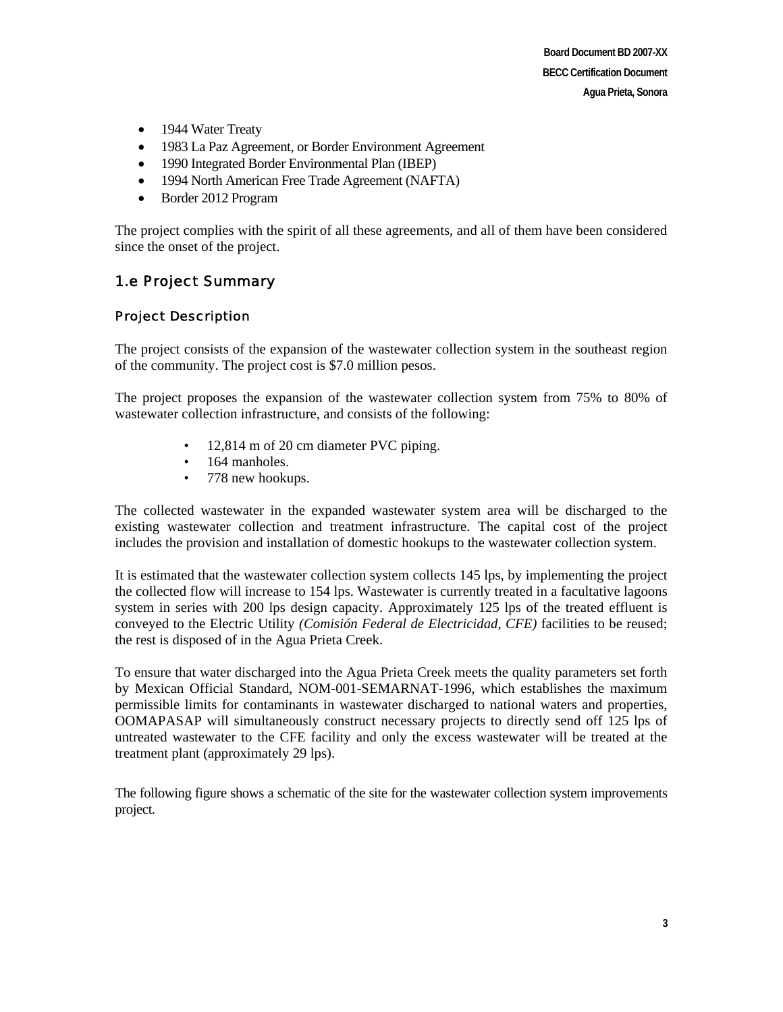- 1944 Water Treaty
- 1983 La Paz Agreement, or Border Environment Agreement
- 1990 Integrated Border Environmental Plan (IBEP)
- 1994 North American Free Trade Agreement (NAFTA)
- Border 2012 Program

The project complies with the spirit of all these agreements, and all of them have been considered since the onset of the project.

## 1.e Project Summary

#### Project Description

The project consists of the expansion of the wastewater collection system in the southeast region of the community. The project cost is \$7.0 million pesos.

The project proposes the expansion of the wastewater collection system from 75% to 80% of wastewater collection infrastructure, and consists of the following:

- 12,814 m of 20 cm diameter PVC piping.
- 164 manholes.
- 778 new hookups.

The collected wastewater in the expanded wastewater system area will be discharged to the existing wastewater collection and treatment infrastructure. The capital cost of the project includes the provision and installation of domestic hookups to the wastewater collection system.

It is estimated that the wastewater collection system collects 145 lps, by implementing the project the collected flow will increase to 154 lps. Wastewater is currently treated in a facultative lagoons system in series with 200 lps design capacity. Approximately 125 lps of the treated effluent is conveyed to the Electric Utility *(Comisión Federal de Electricidad, CFE)* facilities to be reused; the rest is disposed of in the Agua Prieta Creek.

To ensure that water discharged into the Agua Prieta Creek meets the quality parameters set forth by Mexican Official Standard, NOM-001-SEMARNAT-1996, which establishes the maximum permissible limits for contaminants in wastewater discharged to national waters and properties, OOMAPASAP will simultaneously construct necessary projects to directly send off 125 lps of untreated wastewater to the CFE facility and only the excess wastewater will be treated at the treatment plant (approximately 29 lps).

The following figure shows a schematic of the site for the wastewater collection system improvements project.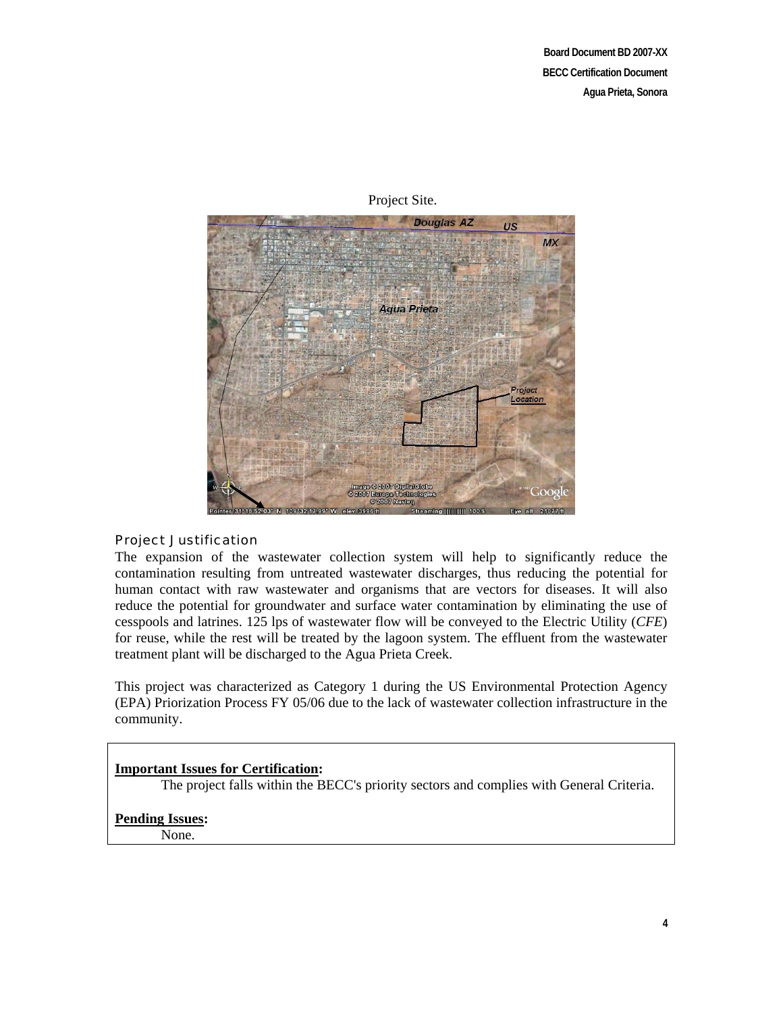

### Project Site.

#### Project Justification

The expansion of the wastewater collection system will help to significantly reduce the contamination resulting from untreated wastewater discharges, thus reducing the potential for human contact with raw wastewater and organisms that are vectors for diseases. It will also reduce the potential for groundwater and surface water contamination by eliminating the use of cesspools and latrines. 125 lps of wastewater flow will be conveyed to the Electric Utility (*CFE*) for reuse, while the rest will be treated by the lagoon system. The effluent from the wastewater treatment plant will be discharged to the Agua Prieta Creek.

This project was characterized as Category 1 during the US Environmental Protection Agency (EPA) Priorization Process FY 05/06 due to the lack of wastewater collection infrastructure in the community.

#### **Important Issues for Certification:**

The project falls within the BECC's priority sectors and complies with General Criteria.

#### **Pending Issues:**

None.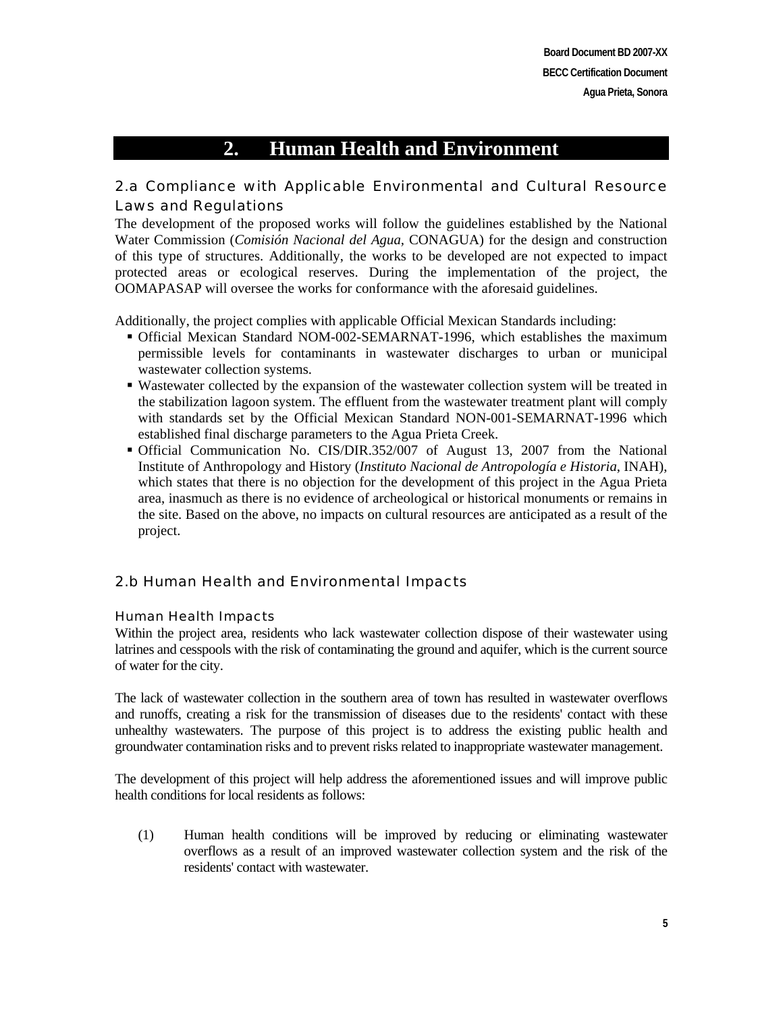# **2. Human Health and Environment**

## 2.a Compliance with Applicable Environmental and Cultural Resource Laws and Regulations

The development of the proposed works will follow the guidelines established by the National Water Commission (*Comisión Nacional del Agua,* CONAGUA) for the design and construction of this type of structures. Additionally, the works to be developed are not expected to impact protected areas or ecological reserves. During the implementation of the project, the OOMAPASAP will oversee the works for conformance with the aforesaid guidelines.

Additionally, the project complies with applicable Official Mexican Standards including:

- Official Mexican Standard NOM-002-SEMARNAT-1996, which establishes the maximum permissible levels for contaminants in wastewater discharges to urban or municipal wastewater collection systems.
- Wastewater collected by the expansion of the wastewater collection system will be treated in the stabilization lagoon system. The effluent from the wastewater treatment plant will comply with standards set by the Official Mexican Standard NON-001-SEMARNAT-1996 which established final discharge parameters to the Agua Prieta Creek.
- Official Communication No. CIS/DIR.352/007 of August 13, 2007 from the National Institute of Anthropology and History (*Instituto Nacional de Antropología e Historia*, INAH), which states that there is no objection for the development of this project in the Agua Prieta area, inasmuch as there is no evidence of archeological or historical monuments or remains in the site. Based on the above, no impacts on cultural resources are anticipated as a result of the project.

## 2.b Human Health and Environmental Impacts

#### Human Health Impacts

Within the project area, residents who lack wastewater collection dispose of their wastewater using latrines and cesspools with the risk of contaminating the ground and aquifer, which is the current source of water for the city.

The lack of wastewater collection in the southern area of town has resulted in wastewater overflows and runoffs, creating a risk for the transmission of diseases due to the residents' contact with these unhealthy wastewaters. The purpose of this project is to address the existing public health and groundwater contamination risks and to prevent risks related to inappropriate wastewater management.

The development of this project will help address the aforementioned issues and will improve public health conditions for local residents as follows:

(1) Human health conditions will be improved by reducing or eliminating wastewater overflows as a result of an improved wastewater collection system and the risk of the residents' contact with wastewater.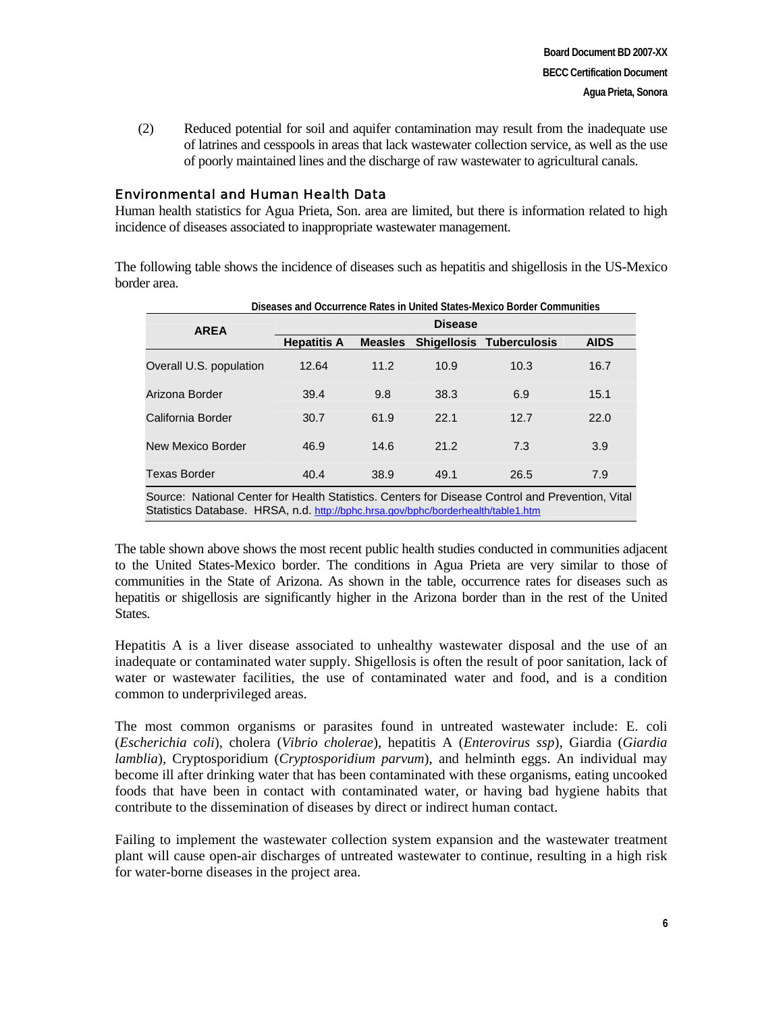(2) Reduced potential for soil and aquifer contamination may result from the inadequate use of latrines and cesspools in areas that lack wastewater collection service, as well as the use of poorly maintained lines and the discharge of raw wastewater to agricultural canals.

#### Environmental and Human Health Data

Human health statistics for Agua Prieta, Son. area are limited, but there is information related to high incidence of diseases associated to inappropriate wastewater management.

The following table shows the incidence of diseases such as hepatitis and shigellosis in the US-Mexico border area.

| <b>AREA</b>                                                                                                                                                                           | <b>Disease</b>     |                |      |                                 |             |  |
|---------------------------------------------------------------------------------------------------------------------------------------------------------------------------------------|--------------------|----------------|------|---------------------------------|-------------|--|
|                                                                                                                                                                                       | <b>Hepatitis A</b> | <b>Measles</b> |      | <b>Shigellosis Tuberculosis</b> | <b>AIDS</b> |  |
| Overall U.S. population                                                                                                                                                               | 12.64              | 11.2           | 10.9 | 10.3                            | 16.7        |  |
| Arizona Border                                                                                                                                                                        | 39.4               | 9.8            | 38.3 | 6.9                             | 15.1        |  |
| California Border                                                                                                                                                                     | 30.7               | 61.9           | 22.1 | 12.7                            | 22.0        |  |
| New Mexico Border                                                                                                                                                                     | 46.9               | 14.6           | 21.2 | 7.3                             | 3.9         |  |
| <b>Texas Border</b>                                                                                                                                                                   | 40.4               | 38.9           | 49.1 | 26.5                            | 7.9         |  |
| Source: National Center for Health Statistics. Centers for Disease Control and Prevention, Vital<br>Statistics Database. HRSA, n.d. http://bphc.hrsa.gov/bphc/borderhealth/table1.htm |                    |                |      |                                 |             |  |

**Diseases and Occurrence Rates in United States-Mexico Border Communities** 

The table shown above shows the most recent public health studies conducted in communities adjacent to the United States-Mexico border. The conditions in Agua Prieta are very similar to those of communities in the State of Arizona. As shown in the table, occurrence rates for diseases such as hepatitis or shigellosis are significantly higher in the Arizona border than in the rest of the United States.

Hepatitis A is a liver disease associated to unhealthy wastewater disposal and the use of an inadequate or contaminated water supply. Shigellosis is often the result of poor sanitation, lack of water or wastewater facilities, the use of contaminated water and food, and is a condition common to underprivileged areas.

The most common organisms or parasites found in untreated wastewater include: E. coli (*Escherichia coli*), cholera (*Vibrio cholerae*), hepatitis A (*Enterovirus ssp*), Giardia (*Giardia lamblia*), Cryptosporidium (*Cryptosporidium parvum*), and helminth eggs. An individual may become ill after drinking water that has been contaminated with these organisms, eating uncooked foods that have been in contact with contaminated water, or having bad hygiene habits that contribute to the dissemination of diseases by direct or indirect human contact.

Failing to implement the wastewater collection system expansion and the wastewater treatment plant will cause open-air discharges of untreated wastewater to continue, resulting in a high risk for water-borne diseases in the project area.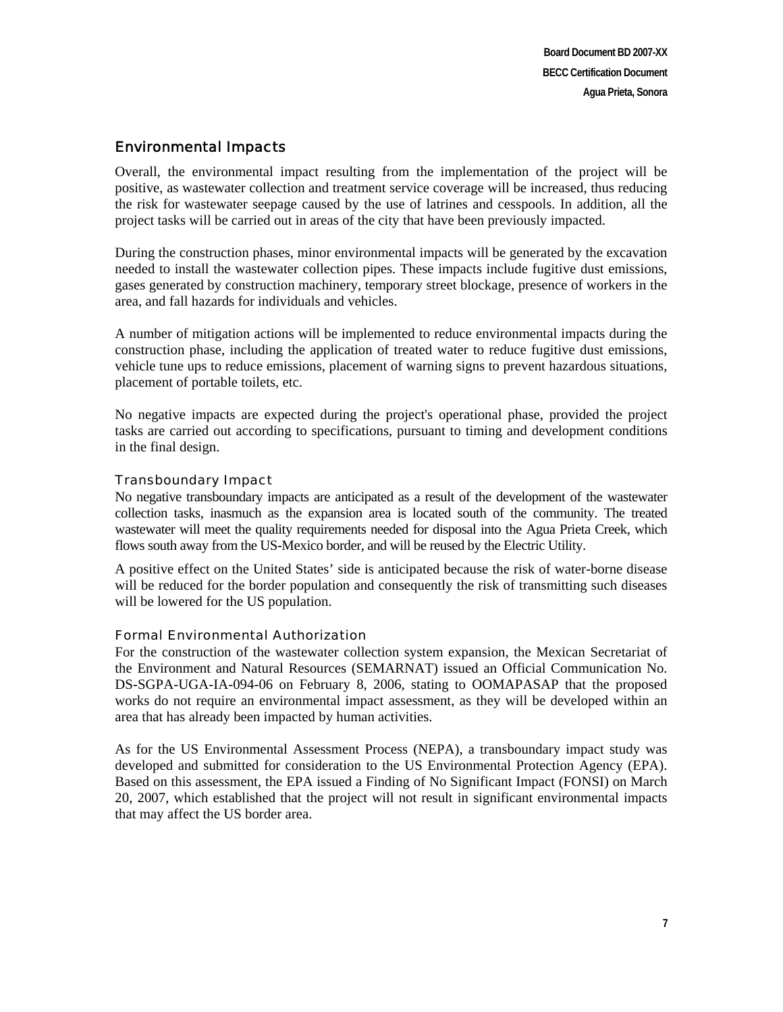## Environmental Impacts

Overall, the environmental impact resulting from the implementation of the project will be positive, as wastewater collection and treatment service coverage will be increased, thus reducing the risk for wastewater seepage caused by the use of latrines and cesspools. In addition, all the project tasks will be carried out in areas of the city that have been previously impacted.

During the construction phases, minor environmental impacts will be generated by the excavation needed to install the wastewater collection pipes. These impacts include fugitive dust emissions, gases generated by construction machinery, temporary street blockage, presence of workers in the area, and fall hazards for individuals and vehicles.

A number of mitigation actions will be implemented to reduce environmental impacts during the construction phase, including the application of treated water to reduce fugitive dust emissions, vehicle tune ups to reduce emissions, placement of warning signs to prevent hazardous situations, placement of portable toilets, etc.

No negative impacts are expected during the project's operational phase, provided the project tasks are carried out according to specifications, pursuant to timing and development conditions in the final design.

## Transboundary Impact

No negative transboundary impacts are anticipated as a result of the development of the wastewater collection tasks, inasmuch as the expansion area is located south of the community. The treated wastewater will meet the quality requirements needed for disposal into the Agua Prieta Creek, which flows south away from the US-Mexico border, and will be reused by the Electric Utility.

A positive effect on the United States' side is anticipated because the risk of water-borne disease will be reduced for the border population and consequently the risk of transmitting such diseases will be lowered for the US population.

#### Formal Environmental Authorization

For the construction of the wastewater collection system expansion, the Mexican Secretariat of the Environment and Natural Resources (SEMARNAT) issued an Official Communication No. DS-SGPA-UGA-IA-094-06 on February 8, 2006, stating to OOMAPASAP that the proposed works do not require an environmental impact assessment, as they will be developed within an area that has already been impacted by human activities.

As for the US Environmental Assessment Process (NEPA), a transboundary impact study was developed and submitted for consideration to the US Environmental Protection Agency (EPA). Based on this assessment, the EPA issued a Finding of No Significant Impact (FONSI) on March 20, 2007, which established that the project will not result in significant environmental impacts that may affect the US border area.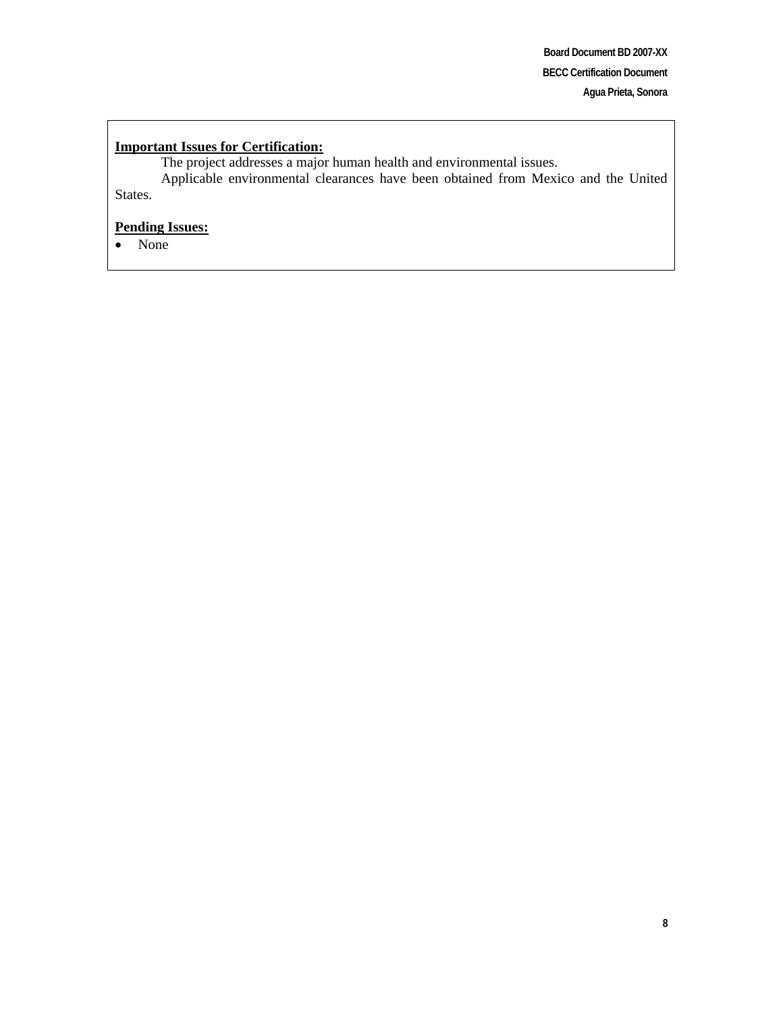#### **Important Issues for Certification:**

The project addresses a major human health and environmental issues. Applicable environmental clearances have been obtained from Mexico and the United States.

## **Pending Issues:**

• None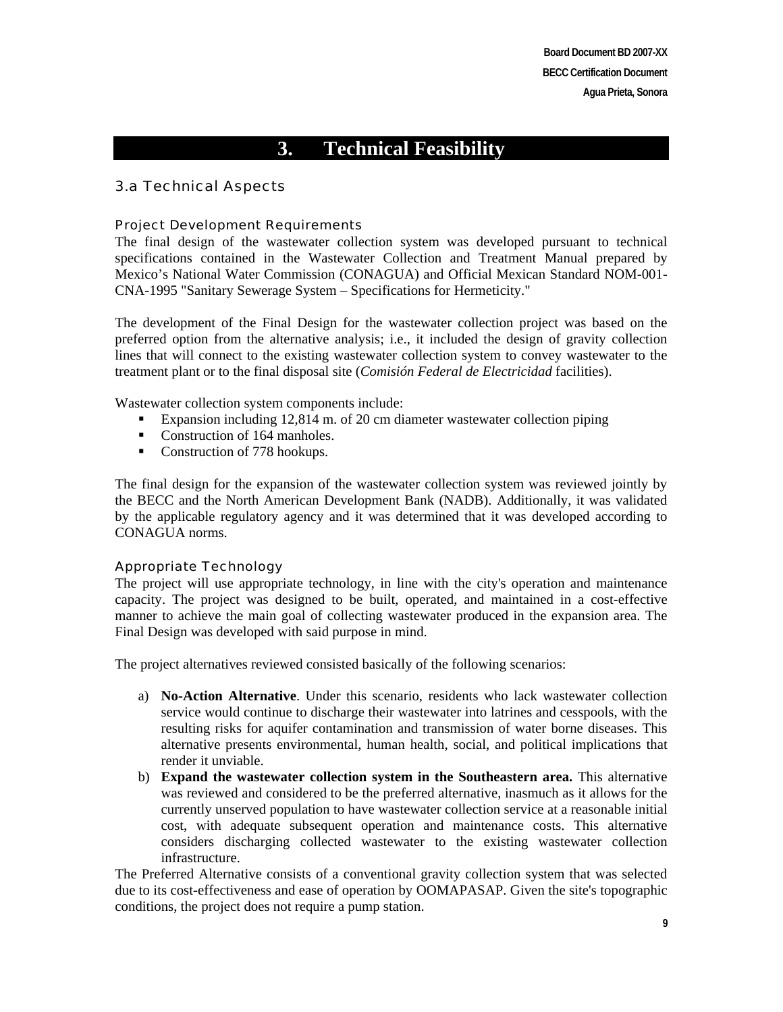# **3. Technical Feasibility**

## 3.a Technical Aspects

#### Project Development Requirements

The final design of the wastewater collection system was developed pursuant to technical specifications contained in the Wastewater Collection and Treatment Manual prepared by Mexico's National Water Commission (CONAGUA) and Official Mexican Standard NOM-001- CNA-1995 "Sanitary Sewerage System – Specifications for Hermeticity."

The development of the Final Design for the wastewater collection project was based on the preferred option from the alternative analysis; i.e., it included the design of gravity collection lines that will connect to the existing wastewater collection system to convey wastewater to the treatment plant or to the final disposal site (*Comisión Federal de Electricidad* facilities).

Wastewater collection system components include:

- Expansion including 12,814 m. of 20 cm diameter wastewater collection piping
- Construction of 164 manholes.
- Construction of 778 hookups.

The final design for the expansion of the wastewater collection system was reviewed jointly by the BECC and the North American Development Bank (NADB). Additionally, it was validated by the applicable regulatory agency and it was determined that it was developed according to CONAGUA norms.

## Appropriate Technology

The project will use appropriate technology, in line with the city's operation and maintenance capacity. The project was designed to be built, operated, and maintained in a cost-effective manner to achieve the main goal of collecting wastewater produced in the expansion area. The Final Design was developed with said purpose in mind.

The project alternatives reviewed consisted basically of the following scenarios:

- a) **No-Action Alternative**. Under this scenario, residents who lack wastewater collection service would continue to discharge their wastewater into latrines and cesspools, with the resulting risks for aquifer contamination and transmission of water borne diseases. This alternative presents environmental, human health, social, and political implications that render it unviable.
- b) **Expand the wastewater collection system in the Southeastern area.** This alternative was reviewed and considered to be the preferred alternative, inasmuch as it allows for the currently unserved population to have wastewater collection service at a reasonable initial cost, with adequate subsequent operation and maintenance costs. This alternative considers discharging collected wastewater to the existing wastewater collection infrastructure.

The Preferred Alternative consists of a conventional gravity collection system that was selected due to its cost-effectiveness and ease of operation by OOMAPASAP. Given the site's topographic conditions, the project does not require a pump station.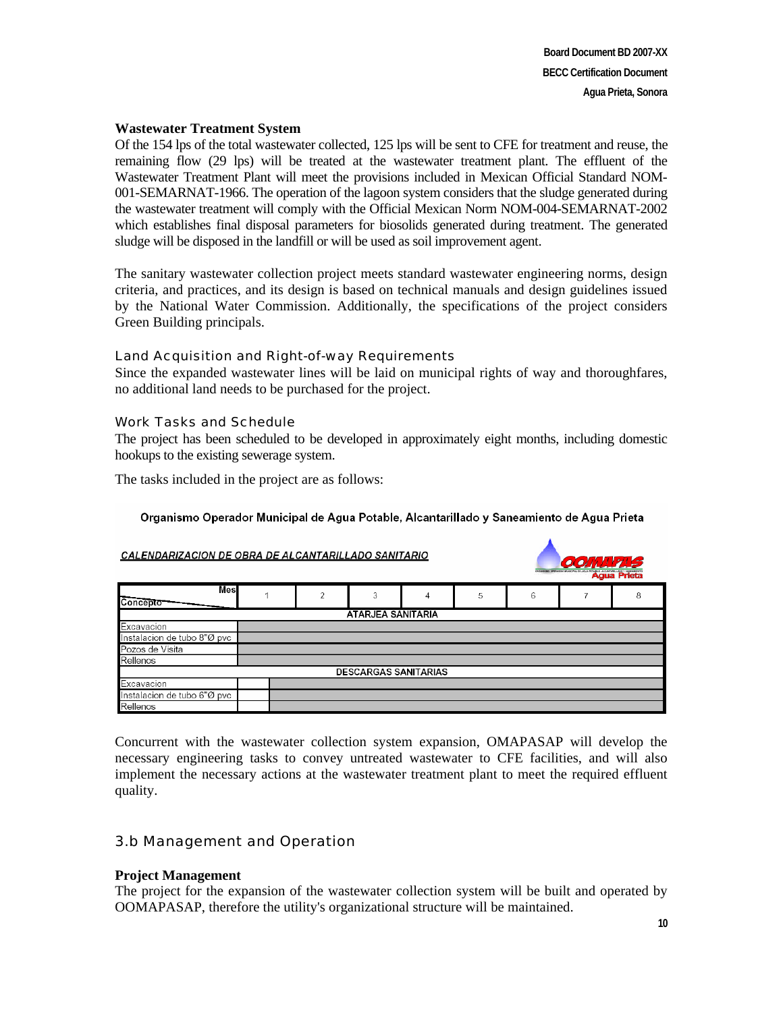#### **Wastewater Treatment System**

Of the 154 lps of the total wastewater collected, 125 lps will be sent to CFE for treatment and reuse, the remaining flow (29 lps) will be treated at the wastewater treatment plant. The effluent of the Wastewater Treatment Plant will meet the provisions included in Mexican Official Standard NOM-001-SEMARNAT-1966. The operation of the lagoon system considers that the sludge generated during the wastewater treatment will comply with the Official Mexican Norm NOM-004-SEMARNAT-2002 which establishes final disposal parameters for biosolids generated during treatment. The generated sludge will be disposed in the landfill or will be used as soil improvement agent.

The sanitary wastewater collection project meets standard wastewater engineering norms, design criteria, and practices, and its design is based on technical manuals and design guidelines issued by the National Water Commission. Additionally, the specifications of the project considers Green Building principals.

#### Land Acquisition and Right-of-way Requirements

Since the expanded wastewater lines will be laid on municipal rights of way and thoroughfares, no additional land needs to be purchased for the project.

#### Work Tasks and Schedule

The project has been scheduled to be developed in approximately eight months, including domestic hookups to the existing sewerage system.

The tasks included in the project are as follows:

#### Organismo Operador Municipal de Agua Potable, Alcantarillado y Saneamiento de Agua Prieta

#### CALENDARIZACION DE OBRA DE ALCANTARILLADO SANITARIO **Mes**  $\overline{1}$  $\overline{2}$  $\overline{3}$  $\Delta$  $\sqrt{2}$  $\mathsf{G}$  $\overline{7}$  $\mathbf{a}$ Concepto ATARJEA SANITARIA xcavacion Instalacion de tubo 8"Ø pvc Pozos de Visita Rellenos **DESCARGAS SANITARIAS** Excavacion Instalacion de tubo 6"Ø pvc Rellenos

Concurrent with the wastewater collection system expansion, OMAPASAP will develop the necessary engineering tasks to convey untreated wastewater to CFE facilities, and will also implement the necessary actions at the wastewater treatment plant to meet the required effluent quality.

## 3.b Management and Operation

#### **Project Management**

The project for the expansion of the wastewater collection system will be built and operated by OOMAPASAP, therefore the utility's organizational structure will be maintained.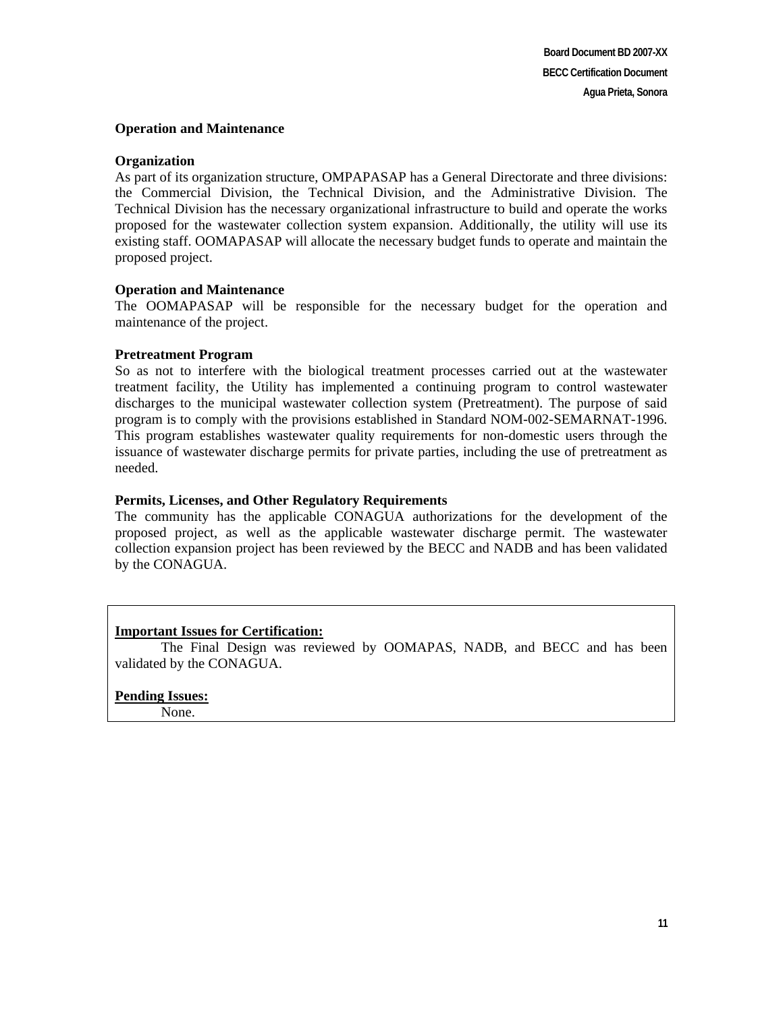#### **Operation and Maintenance**

#### **Organization**

As part of its organization structure, OMPAPASAP has a General Directorate and three divisions: the Commercial Division, the Technical Division, and the Administrative Division. The Technical Division has the necessary organizational infrastructure to build and operate the works proposed for the wastewater collection system expansion. Additionally, the utility will use its existing staff. OOMAPASAP will allocate the necessary budget funds to operate and maintain the proposed project.

#### **Operation and Maintenance**

The OOMAPASAP will be responsible for the necessary budget for the operation and maintenance of the project.

#### **Pretreatment Program**

So as not to interfere with the biological treatment processes carried out at the wastewater treatment facility, the Utility has implemented a continuing program to control wastewater discharges to the municipal wastewater collection system (Pretreatment). The purpose of said program is to comply with the provisions established in Standard NOM-002-SEMARNAT-1996. This program establishes wastewater quality requirements for non-domestic users through the issuance of wastewater discharge permits for private parties, including the use of pretreatment as needed.

#### **Permits, Licenses, and Other Regulatory Requirements**

The community has the applicable CONAGUA authorizations for the development of the proposed project, as well as the applicable wastewater discharge permit. The wastewater collection expansion project has been reviewed by the BECC and NADB and has been validated by the CONAGUA.

#### **Important Issues for Certification:**

The Final Design was reviewed by OOMAPAS, NADB, and BECC and has been validated by the CONAGUA.

# **Pending Issues:**

None.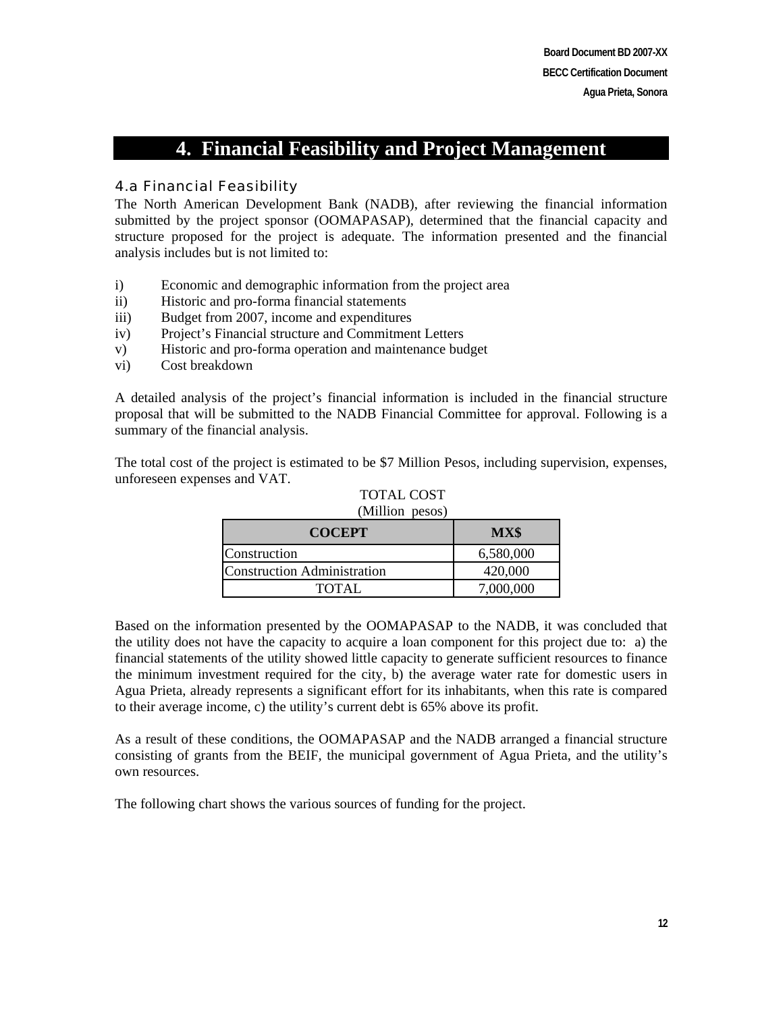# **4. Financial Feasibility and Project Management**

## 4.a Financial Feasibility

The North American Development Bank (NADB), after reviewing the financial information submitted by the project sponsor (OOMAPASAP), determined that the financial capacity and structure proposed for the project is adequate. The information presented and the financial analysis includes but is not limited to:

- i) Economic and demographic information from the project area
- ii) Historic and pro-forma financial statements
- iii) Budget from 2007, income and expenditures
- iv) Project's Financial structure and Commitment Letters
- v) Historic and pro-forma operation and maintenance budget
- vi) Cost breakdown

A detailed analysis of the project's financial information is included in the financial structure proposal that will be submitted to the NADB Financial Committee for approval. Following is a summary of the financial analysis.

The total cost of the project is estimated to be \$7 Million Pesos, including supervision, expenses, unforeseen expenses and VAT.

| $($ IVIIIIIUII $p$ GSUS<br><b>COCEPT</b> | MX\$      |  |
|------------------------------------------|-----------|--|
| Construction                             | 6,580,000 |  |
| Construction Administration              | 420,000   |  |
| <b>TOTAL</b>                             | 7,000,000 |  |

TOTAL COST (Million pesos)

Based on the information presented by the OOMAPASAP to the NADB, it was concluded that the utility does not have the capacity to acquire a loan component for this project due to: a) the financial statements of the utility showed little capacity to generate sufficient resources to finance the minimum investment required for the city, b) the average water rate for domestic users in Agua Prieta, already represents a significant effort for its inhabitants, when this rate is compared to their average income, c) the utility's current debt is 65% above its profit.

As a result of these conditions, the OOMAPASAP and the NADB arranged a financial structure consisting of grants from the BEIF, the municipal government of Agua Prieta, and the utility's own resources.

The following chart shows the various sources of funding for the project.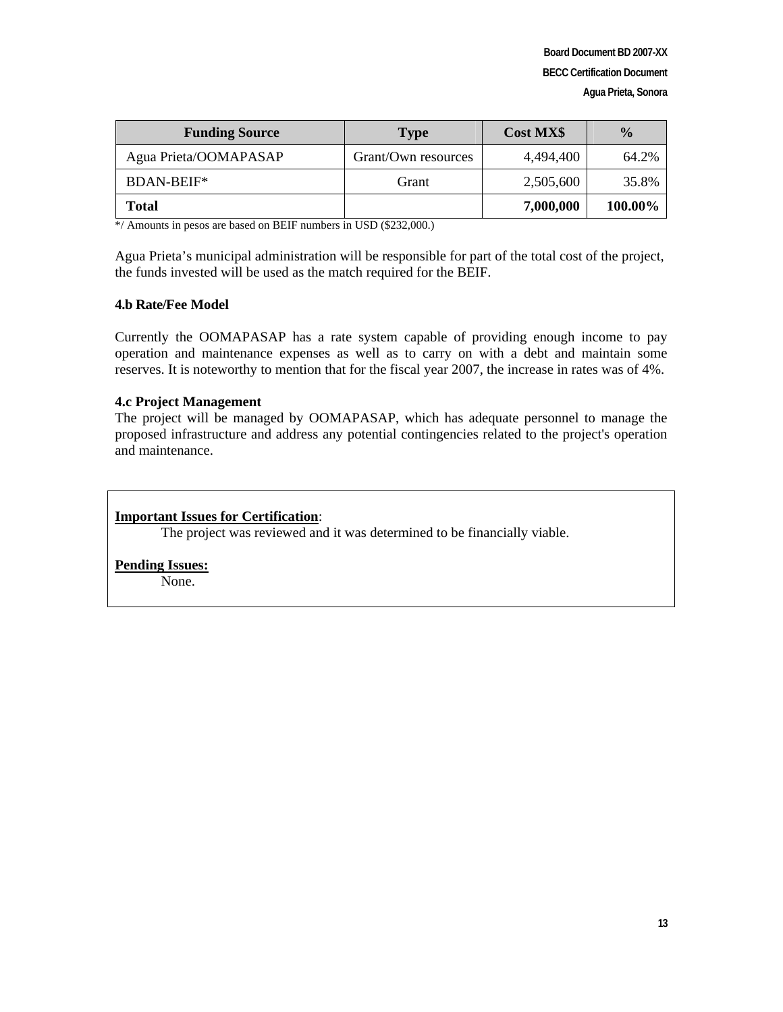| <b>Funding Source</b> | <b>Type</b>         | <b>Cost MX\$</b> | $\frac{0}{0}$ |
|-----------------------|---------------------|------------------|---------------|
| Agua Prieta/OOMAPASAP | Grant/Own resources | 4.494.400        | 64.2%         |
| BDAN-BEIF*            | Grant               | 2,505,600        | 35.8%         |
| Total                 |                     | 7,000,000        | 100.00%       |

\*/ Amounts in pesos are based on BEIF numbers in USD (\$232,000.)

Agua Prieta's municipal administration will be responsible for part of the total cost of the project, the funds invested will be used as the match required for the BEIF.

#### **4.b Rate/Fee Model**

Currently the OOMAPASAP has a rate system capable of providing enough income to pay operation and maintenance expenses as well as to carry on with a debt and maintain some reserves. It is noteworthy to mention that for the fiscal year 2007, the increase in rates was of 4%.

#### **4.c Project Management**

The project will be managed by OOMAPASAP, which has adequate personnel to manage the proposed infrastructure and address any potential contingencies related to the project's operation and maintenance.

#### **Important Issues for Certification**:

The project was reviewed and it was determined to be financially viable.

#### **Pending Issues:**

None.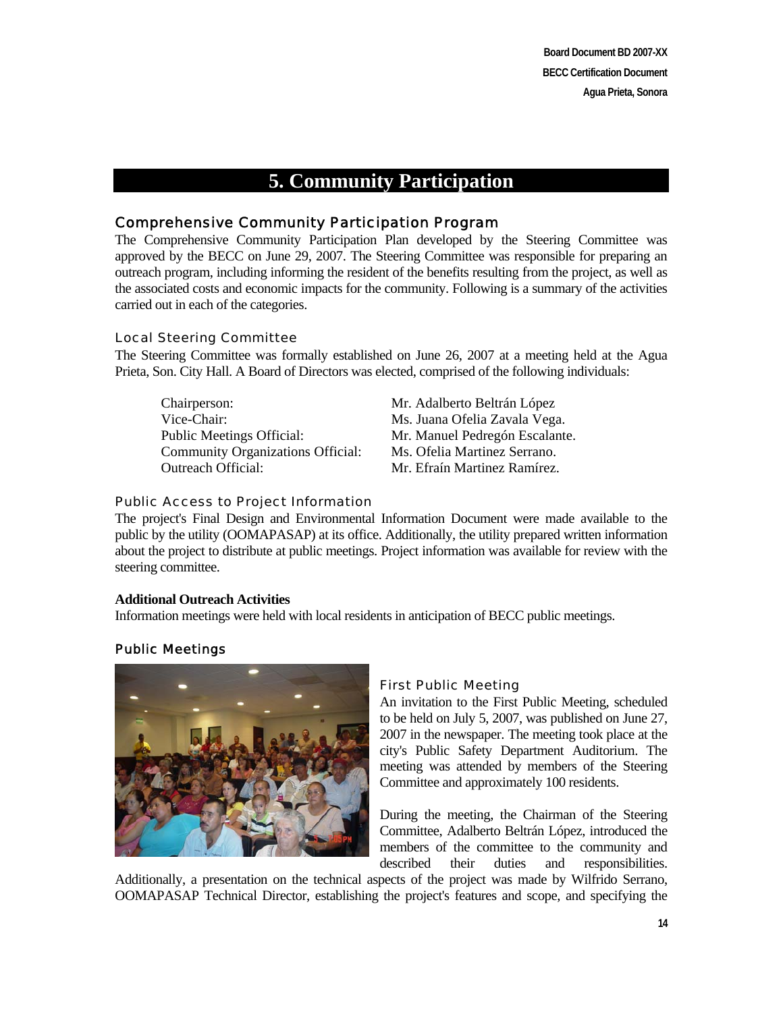**Board Document BD 2007-XX BECC Certification Document Agua Prieta, Sonora** 

# **5. Community Participation**

### Comprehensive Community Participation Program

The Comprehensive Community Participation Plan developed by the Steering Committee was approved by the BECC on June 29, 2007. The Steering Committee was responsible for preparing an outreach program, including informing the resident of the benefits resulting from the project, as well as the associated costs and economic impacts for the community. Following is a summary of the activities carried out in each of the categories.

#### Local Steering Committee

The Steering Committee was formally established on June 26, 2007 at a meeting held at the Agua Prieta, Son. City Hall. A Board of Directors was elected, comprised of the following individuals:

Chairperson: Mr. Adalberto Beltrán López Vice-Chair: Ms. Juana Ofelia Zavala Vega. Public Meetings Official: Mr. Manuel Pedregón Escalante. Community Organizations Official: Ms. Ofelia Martinez Serrano. Outreach Official: Mr. Efraín Martinez Ramírez.

#### Public Access to Project Information

The project's Final Design and Environmental Information Document were made available to the public by the utility (OOMAPASAP) at its office. Additionally, the utility prepared written information about the project to distribute at public meetings. Project information was available for review with the steering committee.

#### **Additional Outreach Activities**

Information meetings were held with local residents in anticipation of BECC public meetings.

#### Public Meetings



#### First Public Meeting

An invitation to the First Public Meeting, scheduled to be held on July 5, 2007, was published on June 27, 2007 in the newspaper. The meeting took place at the city's Public Safety Department Auditorium. The meeting was attended by members of the Steering Committee and approximately 100 residents.

During the meeting, the Chairman of the Steering Committee, Adalberto Beltrán López, introduced the members of the committee to the community and described their duties and responsibilities.

Additionally, a presentation on the technical aspects of the project was made by Wilfrido Serrano, OOMAPASAP Technical Director, establishing the project's features and scope, and specifying the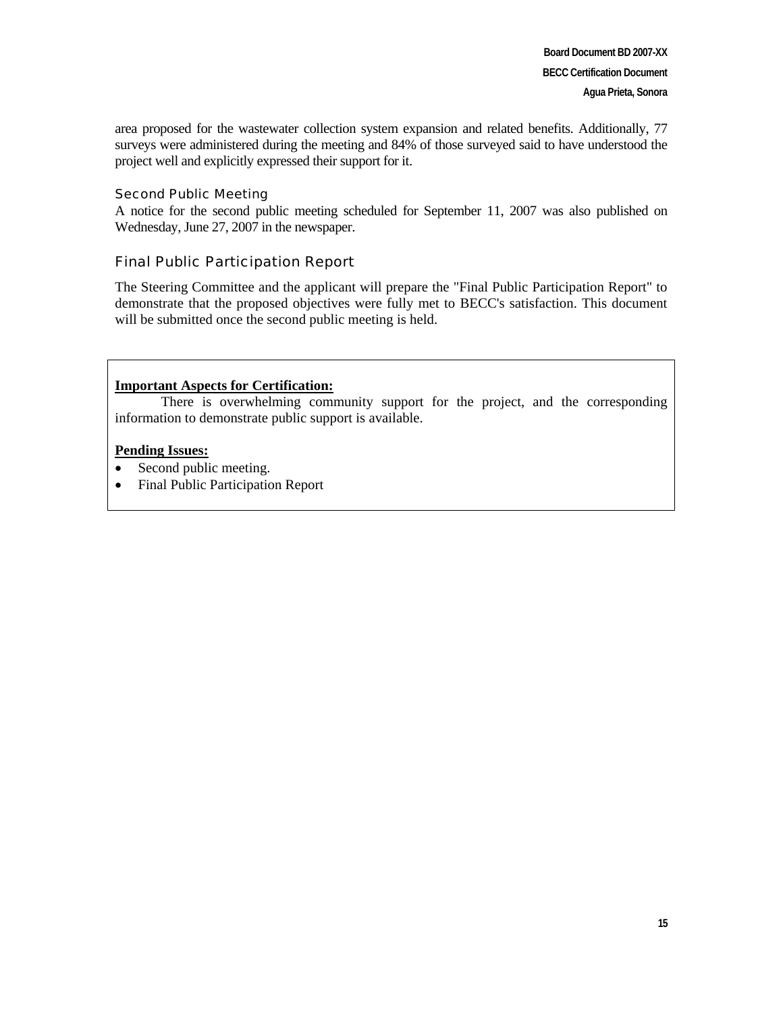area proposed for the wastewater collection system expansion and related benefits. Additionally, 77 surveys were administered during the meeting and 84% of those surveyed said to have understood the project well and explicitly expressed their support for it.

#### Second Public Meeting

A notice for the second public meeting scheduled for September 11, 2007 was also published on Wednesday, June 27, 2007 in the newspaper.

## Final Public Participation Report

The Steering Committee and the applicant will prepare the "Final Public Participation Report" to demonstrate that the proposed objectives were fully met to BECC's satisfaction. This document will be submitted once the second public meeting is held.

#### **Important Aspects for Certification:**

There is overwhelming community support for the project, and the corresponding information to demonstrate public support is available.

#### **Pending Issues:**

- Second public meeting.
- Final Public Participation Report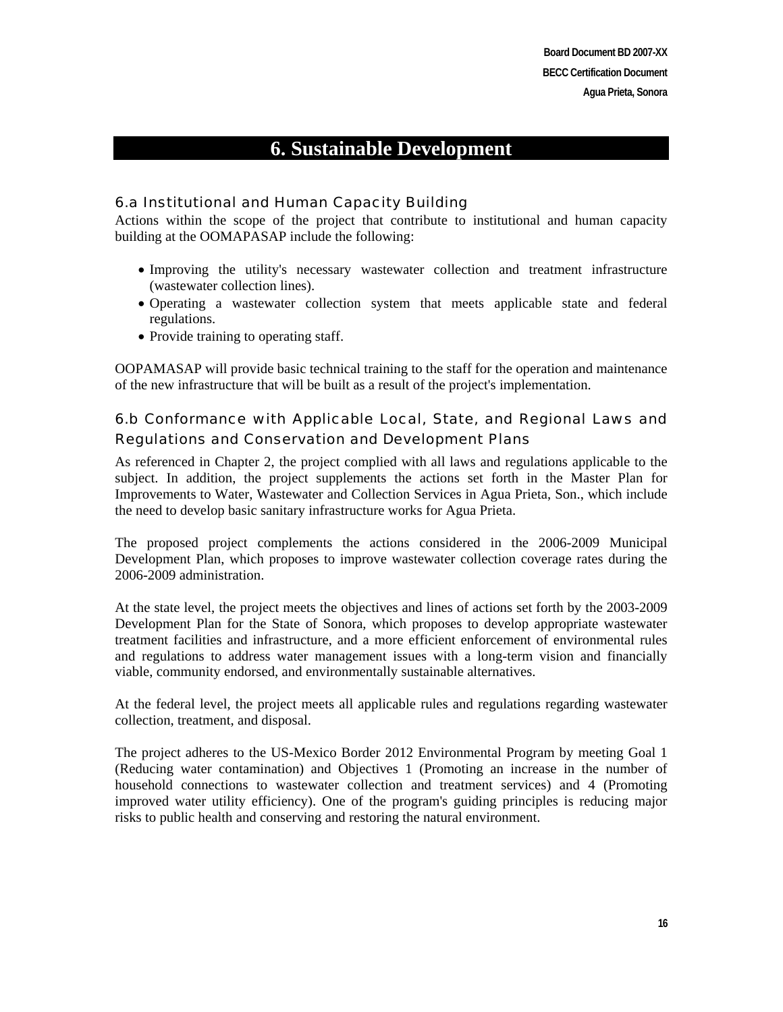# **6. Sustainable Development**

## 6.a Institutional and Human Capacity Building

Actions within the scope of the project that contribute to institutional and human capacity building at the OOMAPASAP include the following:

- Improving the utility's necessary wastewater collection and treatment infrastructure (wastewater collection lines).
- Operating a wastewater collection system that meets applicable state and federal regulations.
- Provide training to operating staff.

OOPAMASAP will provide basic technical training to the staff for the operation and maintenance of the new infrastructure that will be built as a result of the project's implementation.

## 6.b Conformance with Applicable Local, State, and Regional Laws and Regulations and Conservation and Development Plans

As referenced in Chapter 2, the project complied with all laws and regulations applicable to the subject. In addition, the project supplements the actions set forth in the Master Plan for Improvements to Water, Wastewater and Collection Services in Agua Prieta, Son., which include the need to develop basic sanitary infrastructure works for Agua Prieta.

The proposed project complements the actions considered in the 2006-2009 Municipal Development Plan, which proposes to improve wastewater collection coverage rates during the 2006-2009 administration.

At the state level, the project meets the objectives and lines of actions set forth by the 2003-2009 Development Plan for the State of Sonora, which proposes to develop appropriate wastewater treatment facilities and infrastructure, and a more efficient enforcement of environmental rules and regulations to address water management issues with a long-term vision and financially viable, community endorsed, and environmentally sustainable alternatives.

At the federal level, the project meets all applicable rules and regulations regarding wastewater collection, treatment, and disposal.

The project adheres to the US-Mexico Border 2012 Environmental Program by meeting Goal 1 (Reducing water contamination) and Objectives 1 (Promoting an increase in the number of household connections to wastewater collection and treatment services) and 4 (Promoting improved water utility efficiency). One of the program's guiding principles is reducing major risks to public health and conserving and restoring the natural environment.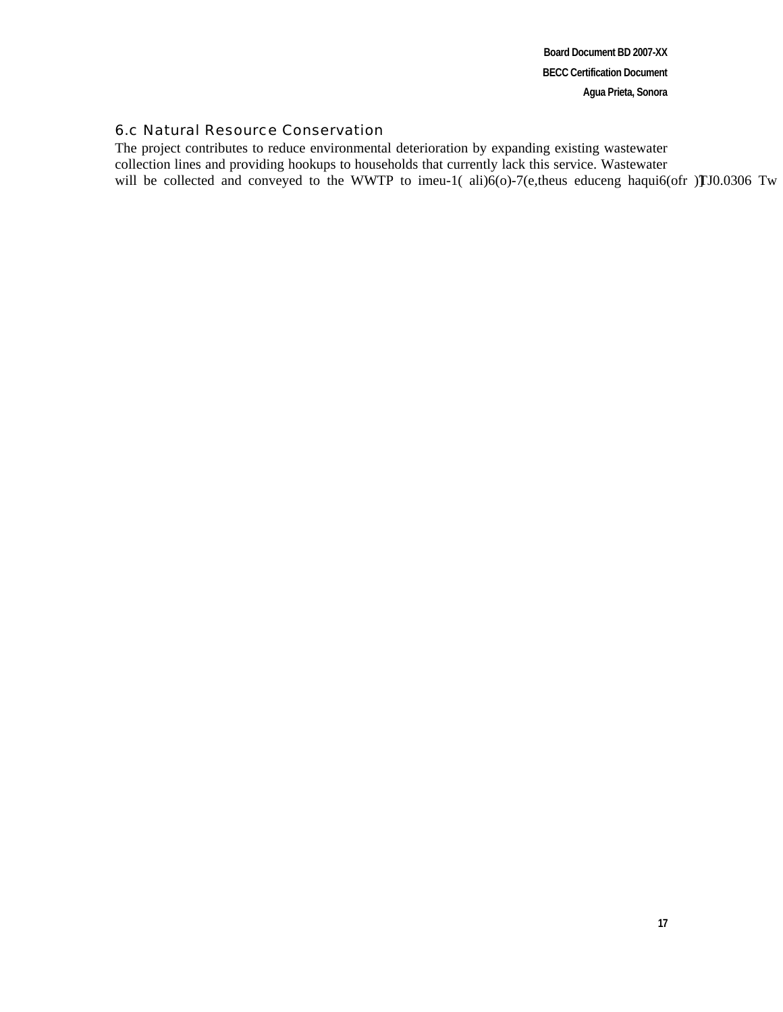**Board Document BD 2007-XX BECC Certification Document Agua Prieta, Sonora** 

#### 6.c Natural Resource Conservation

The project contributes to reduce environmental deterioration by expanding existing wastewater collection lines and providing hookups to households that currently lack this service. Wastewater will be collected and conveyed to the WWTP to imeu-1( $\text{ali}(o)$ -7(e,theus educeng haqui6(ofr )**TJ**0.0306 Tw